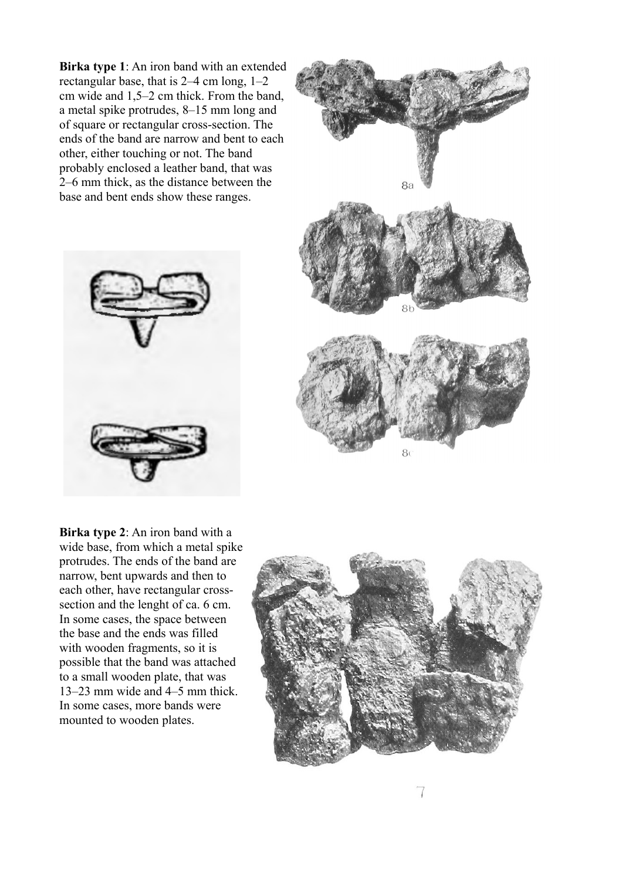**Birka type 1**: An iron band with an extended rectangular base, that is 2–4 cm long, 1–2 cm wide and 1,5–2 cm thick. From the band, a metal spike protrudes, 8–15 mm long and of square or rectangular cross-section. The ends of the band are narrow and bent to each other, either touching or not. The band probably enclosed a leather band, that was 2–6 mm thick, as the distance between the base and bent ends show these ranges.





**Birka type 2**: An iron band with a wide base, from which a metal spike protrudes. The ends of the band are narrow, bent upwards and then to each other, have rectangular crosssection and the lenght of ca. 6 cm. In some cases, the space between the base and the ends was filled with wooden fragments, so it is possible that the band was attached to a small wooden plate, that was 13–23 mm wide and 4–5 mm thick. In some cases, more bands were mounted to wooden plates.

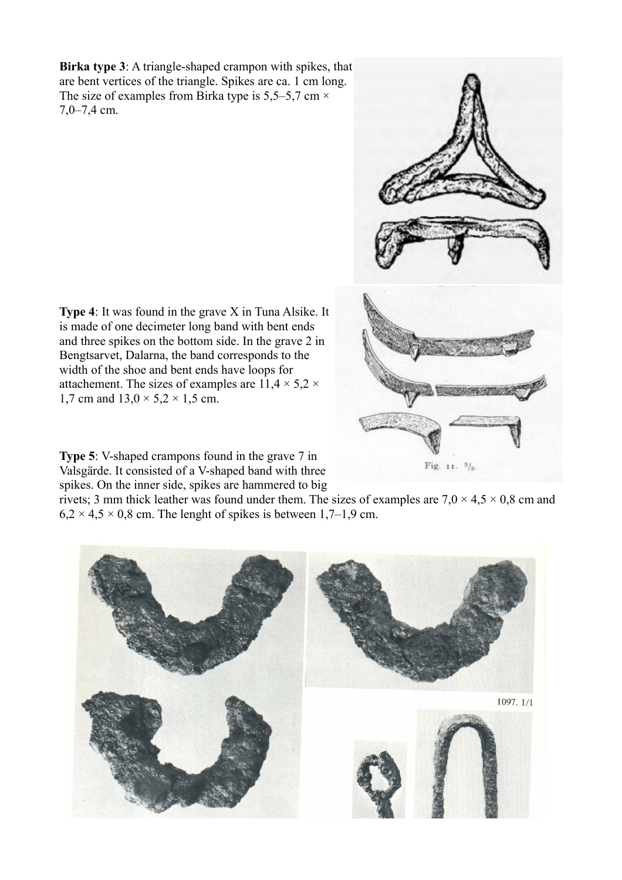**Birka type 3**: A triangle-shaped crampon with spikes, that are bent vertices of the triangle. Spikes are ca. 1 cm long. The size of examples from Birka type is 5,5–5,7 cm  $\times$ 7,0–7,4 cm.

Fig. 11.  $\frac{9}{3}$ .

**Type 4**: It was found in the grave X in Tuna Alsike. It is made of one decimeter long band with bent ends and three spikes on the bottom side. In the grave 2 in Bengtsarvet, Dalarna, the band corresponds to the width of the shoe and bent ends have loops for attachement. The sizes of examples are  $11.4 \times 5.2 \times$ 1,7 cm and  $13.0 \times 5.2 \times 1.5$  cm.

**Type 5**: V-shaped crampons found in the grave 7 in Valsgärde. It consisted of a V-shaped band with three spikes. On the inner side, spikes are hammered to big

rivets; 3 mm thick leather was found under them. The sizes of examples are  $7.0 \times 4.5 \times 0.8$  cm and  $6,2 \times 4,5 \times 0,8$  cm. The lenght of spikes is between 1,7–1,9 cm.